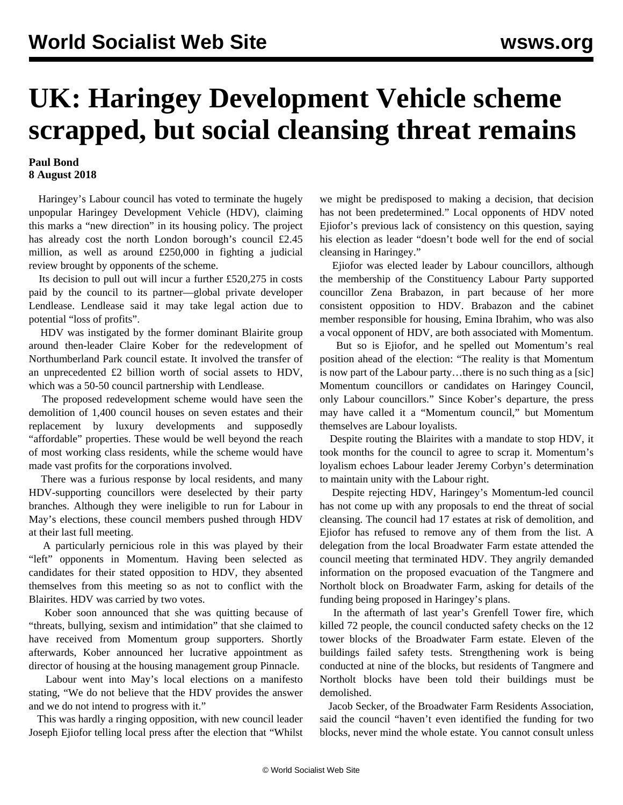## **UK: Haringey Development Vehicle scheme scrapped, but social cleansing threat remains**

## **Paul Bond 8 August 2018**

 Haringey's Labour council has voted to terminate the hugely unpopular Haringey Development Vehicle (HDV), claiming this marks a "new direction" in its housing policy. The project has already cost the north London borough's council £2.45 million, as well as around £250,000 in fighting a judicial review brought by opponents of the scheme.

 Its decision to pull out will incur a further £520,275 in costs paid by the council to its partner—global private developer Lendlease. Lendlease said it may take legal action due to potential "loss of profits".

 HDV was instigated by the former dominant Blairite group around then-leader Claire Kober for the redevelopment of Northumberland Park council estate. It involved the transfer of an unprecedented £2 billion worth of social assets to HDV, which was a 50-50 council partnership with Lendlease.

 The proposed redevelopment scheme would have seen the demolition of 1,400 council houses on seven estates and their replacement by luxury developments and supposedly "affordable" properties. These would be well beyond the reach of most working class residents, while the scheme would have made vast profits for the corporations involved.

 There was a furious response by local residents, and many HDV-supporting councillors were deselected by their party branches. Although they were ineligible to run for Labour in May's elections, these council members pushed through HDV at their last full meeting.

 A particularly pernicious role in this was played by their "left" opponents in Momentum. Having been selected as candidates for their stated opposition to HDV, they absented themselves from this meeting so as not to conflict with the Blairites. HDV was carried by two votes.

 Kober soon announced that she was quitting because of "threats, bullying, sexism and intimidation" that she claimed to have received from Momentum group supporters. Shortly afterwards, Kober announced her [lucrative appointment](/en/articles/2018/05/12/kobe-m12.html) as director of housing at the housing management group Pinnacle.

 Labour went into May's local elections on a manifesto stating, "We do not believe that the HDV provides the answer and we do not intend to progress with it."

 This was hardly a ringing opposition, with new council leader Joseph Ejiofor telling local press after the election that "Whilst we might be predisposed to making a decision, that decision has not been predetermined." Local opponents of HDV noted Ejiofor's previous lack of consistency on this question, saying his election as leader "doesn't bode well for the end of social cleansing in Haringey."

 Ejiofor was elected leader by Labour councillors, although the membership of the Constituency Labour Party supported councillor Zena Brabazon, in part because of her more consistent opposition to HDV. Brabazon and the cabinet member responsible for housing, Emina Ibrahim, who was also a vocal opponent of HDV, are both associated with Momentum.

 But so is Ejiofor, and he spelled out Momentum's real position ahead of the election: "The reality is that Momentum is now part of the Labour party…there is no such thing as a [sic] Momentum councillors or candidates on Haringey Council, only Labour councillors." Since Kober's departure, the press may have called it a "Momentum council," but Momentum themselves are Labour loyalists.

 Despite routing the Blairites with a mandate to stop HDV, it took months for the council to agree to scrap it. Momentum's loyalism echoes Labour leader Jeremy Corbyn's determination to maintain unity with the Labour right.

 Despite rejecting HDV, Haringey's Momentum-led council has not come up with any proposals to end the threat of social cleansing. The council had 17 estates at risk of demolition, and Ejiofor has refused to remove any of them from the list. A delegation from the local Broadwater Farm estate attended the council meeting that terminated HDV. They angrily demanded information on the proposed evacuation of the Tangmere and Northolt block on Broadwater Farm, asking for details of the funding being proposed in Haringey's plans.

 In the aftermath of last year's Grenfell Tower fire, which killed 72 people, the council conducted safety checks on the 12 tower blocks of the Broadwater Farm estate. Eleven of the buildings failed safety tests. Strengthening work is being conducted at nine of the blocks, but residents of Tangmere and Northolt blocks have been told their buildings must be demolished.

 Jacob Secker, of the Broadwater Farm Residents Association, said the council "haven't even identified the funding for two blocks, never mind the whole estate. You cannot consult unless